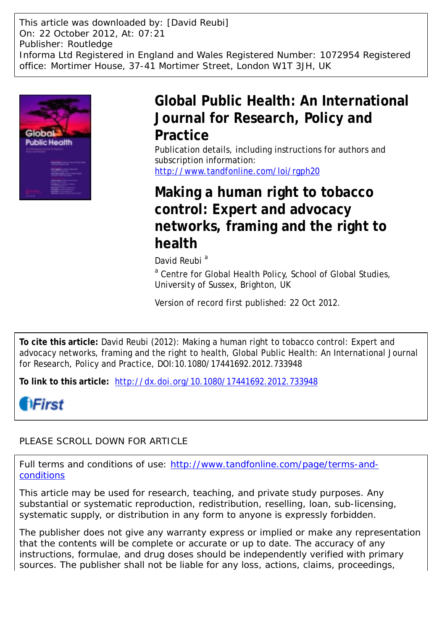This article was downloaded by: [David Reubi] On: 22 October 2012, At: 07:21 Publisher: Routledge Informa Ltd Registered in England and Wales Registered Number: 1072954 Registered office: Mortimer House, 37-41 Mortimer Street, London W1T 3JH, UK



# **Global Public Health: An International Journal for Research, Policy and Practice**

Publication details, including instructions for authors and subscription information: <http://www.tandfonline.com/loi/rgph20>

# **Making a human right to tobacco control: Expert and advocacy networks, framing and the right to health**

David Reubi<sup>a</sup>

<sup>a</sup> Centre for Global Health Policy, School of Global Studies, University of Sussex, Brighton, UK

Version of record first published: 22 Oct 2012.

**To cite this article:** David Reubi (2012): Making a human right to tobacco control: Expert and advocacy networks, framing and the right to health, Global Public Health: An International Journal for Research, Policy and Practice, DOI:10.1080/17441692.2012.733948

**To link to this article:** <http://dx.doi.org/10.1080/17441692.2012.733948>



PLEASE SCROLL DOWN FOR ARTICLE

Full terms and conditions of use: [http://www.tandfonline.com/page/terms-and](http://www.tandfonline.com/page/terms-and-conditions)[conditions](http://www.tandfonline.com/page/terms-and-conditions)

This article may be used for research, teaching, and private study purposes. Any substantial or systematic reproduction, redistribution, reselling, loan, sub-licensing, systematic supply, or distribution in any form to anyone is expressly forbidden.

The publisher does not give any warranty express or implied or make any representation that the contents will be complete or accurate or up to date. The accuracy of any instructions, formulae, and drug doses should be independently verified with primary sources. The publisher shall not be liable for any loss, actions, claims, proceedings,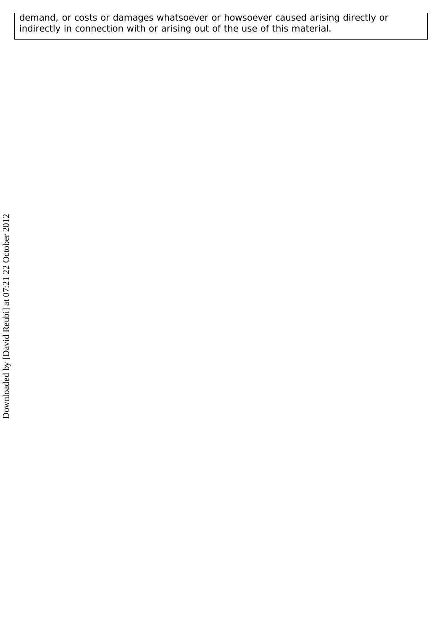demand, or costs or damages whatsoever or howsoever caused arising directly or indirectly in connection with or arising out of the use of this material.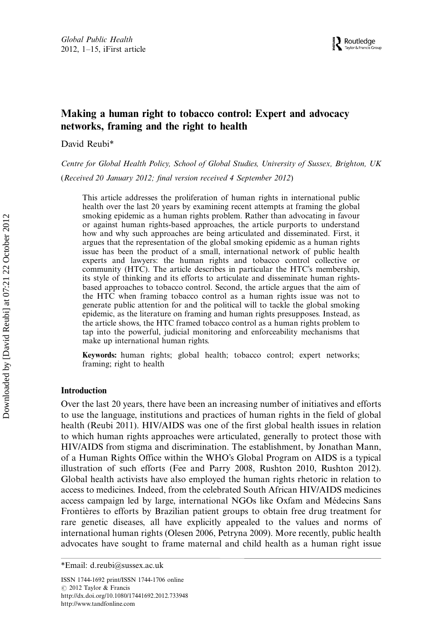# Making a human right to tobacco control: Expert and advocacy networks, framing and the right to health

David Reubi\*

Centre for Global Health Policy, School of Global Studies, University of Sussex, Brighton, UK (Received 20 January 2012; final version received 4 September 2012)

This article addresses the proliferation of human rights in international public health over the last 20 years by examining recent attempts at framing the global smoking epidemic as a human rights problem. Rather than advocating in favour or against human rights-based approaches, the article purports to understand how and why such approaches are being articulated and disseminated. First, it argues that the representation of the global smoking epidemic as a human rights issue has been the product of a small, international network of public health experts and lawyers: the human rights and tobacco control collective or community (HTC). The article describes in particular the HTC's membership, its style of thinking and its efforts to articulate and disseminate human rightsbased approaches to tobacco control. Second, the article argues that the aim of the HTC when framing tobacco control as a human rights issue was not to generate public attention for and the political will to tackle the global smoking epidemic, as the literature on framing and human rights presupposes. Instead, as the article shows, the HTC framed tobacco control as a human rights problem to tap into the powerful, judicial monitoring and enforceability mechanisms that make up international human rights.

Keywords: human rights; global health; tobacco control; expert networks; framing; right to health

### Introduction

Over the last 20 years, there have been an increasing number of initiatives and efforts to use the language, institutions and practices of human rights in the field of global health (Reubi 2011). HIV/AIDS was one of the first global health issues in relation to which human rights approaches were articulated, generally to protect those with HIV/AIDS from stigma and discrimination. The establishment, by Jonathan Mann, of a Human Rights Office within the WHO's Global Program on AIDS is a typical illustration of such efforts (Fee and Parry 2008, Rushton 2010, Rushton 2012). Global health activists have also employed the human rights rhetoric in relation to access to medicines. Indeed, from the celebrated South African HIV/AIDS medicines access campaign led by large, international NGOs like Oxfam and Médecins Sans Frontières to efforts by Brazilian patient groups to obtain free drug treatment for rare genetic diseases, all have explicitly appealed to the values and norms of international human rights (Olesen 2006, Petryna 2009). More recently, public health advocates have sought to frame maternal and child health as a human right issue

ISSN 1744-1692 print/ISSN 1744-1706 online  $\odot$  2012 Taylor & Francis <http://dx.doi.org/10.1080/17441692.2012.733948> <http://www.tandfonline.com>

<sup>\*</sup>Email: d.reubi@sussex.ac.uk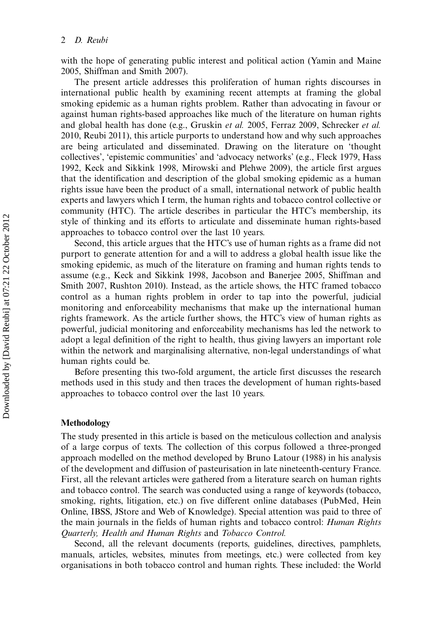with the hope of generating public interest and political action (Yamin and Maine 2005, Shiffman and Smith 2007).

The present article addresses this proliferation of human rights discourses in international public health by examining recent attempts at framing the global smoking epidemic as a human rights problem. Rather than advocating in favour or against human rights-based approaches like much of the literature on human rights and global health has done (e.g., Gruskin et al. 2005, Ferraz 2009, Schrecker et al. 2010, Reubi 2011), this article purports to understand how and why such approaches are being articulated and disseminated. Drawing on the literature on 'thought collectives', 'epistemic communities' and 'advocacy networks' (e.g., Fleck 1979, Hass 1992, Keck and Sikkink 1998, Mirowski and Plehwe 2009), the article first argues that the identification and description of the global smoking epidemic as a human rights issue have been the product of a small, international network of public health experts and lawyers which I term, the human rights and tobacco control collective or community (HTC). The article describes in particular the HTC's membership, its style of thinking and its efforts to articulate and disseminate human rights-based approaches to tobacco control over the last 10 years.

Second, this article argues that the HTC's use of human rights as a frame did not purport to generate attention for and a will to address a global health issue like the smoking epidemic, as much of the literature on framing and human rights tends to assume (e.g., Keck and Sikkink 1998, Jacobson and Banerjee 2005, Shiffman and Smith 2007, Rushton 2010). Instead, as the article shows, the HTC framed tobacco control as a human rights problem in order to tap into the powerful, judicial monitoring and enforceability mechanisms that make up the international human rights framework. As the article further shows, the HTC's view of human rights as powerful, judicial monitoring and enforceability mechanisms has led the network to adopt a legal definition of the right to health, thus giving lawyers an important role within the network and marginalising alternative, non-legal understandings of what human rights could be.

Before presenting this two-fold argument, the article first discusses the research methods used in this study and then traces the development of human rights-based approaches to tobacco control over the last 10 years.

### Methodology

The study presented in this article is based on the meticulous collection and analysis of a large corpus of texts. The collection of this corpus followed a three-pronged approach modelled on the method developed by Bruno Latour (1988) in his analysis of the development and diffusion of pasteurisation in late nineteenth-century France. First, all the relevant articles were gathered from a literature search on human rights and tobacco control. The search was conducted using a range of keywords (tobacco, smoking, rights, litigation, etc.) on five different online databases (PubMed, Hein Online, IBSS, JStore and Web of Knowledge). Special attention was paid to three of the main journals in the fields of human rights and tobacco control: Human Rights Quarterly, Health and Human Rights and Tobacco Control.

Second, all the relevant documents (reports, guidelines, directives, pamphlets, manuals, articles, websites, minutes from meetings, etc.) were collected from key organisations in both tobacco control and human rights. These included: the World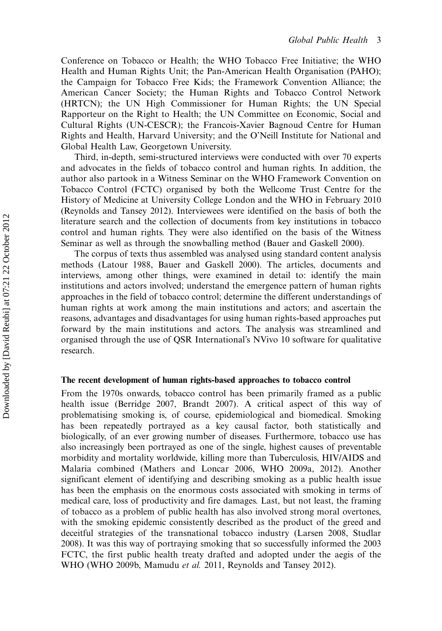Conference on Tobacco or Health; the WHO Tobacco Free Initiative; the WHO Health and Human Rights Unit; the Pan-American Health Organisation (PAHO); the Campaign for Tobacco Free Kids; the Framework Convention Alliance; the American Cancer Society; the Human Rights and Tobacco Control Network (HRTCN); the UN High Commissioner for Human Rights; the UN Special Rapporteur on the Right to Health; the UN Committee on Economic, Social and Cultural Rights (UN-CESCR); the Francois-Xavier Bagnoud Centre for Human Rights and Health, Harvard University; and the O'Neill Institute for National and Global Health Law, Georgetown University.

Third, in-depth, semi-structured interviews were conducted with over 70 experts and advocates in the fields of tobacco control and human rights. In addition, the author also partook in a Witness Seminar on the WHO Framework Convention on Tobacco Control (FCTC) organised by both the Wellcome Trust Centre for the History of Medicine at University College London and the WHO in February 2010 (Reynolds and Tansey 2012). Interviewees were identified on the basis of both the literature search and the collection of documents from key institutions in tobacco control and human rights. They were also identified on the basis of the Witness Seminar as well as through the snowballing method (Bauer and Gaskell 2000).

The corpus of texts thus assembled was analysed using standard content analysis methods (Latour 1988, Bauer and Gaskell 2000). The articles, documents and interviews, among other things, were examined in detail to: identify the main institutions and actors involved; understand the emergence pattern of human rights approaches in the field of tobacco control; determine the different understandings of human rights at work among the main institutions and actors; and ascertain the reasons, advantages and disadvantages for using human rights-based approaches put forward by the main institutions and actors. The analysis was streamlined and organised through the use of QSR International's NVivo 10 software for qualitative research.

### The recent development of human rights-based approaches to tobacco control

From the 1970s onwards, tobacco control has been primarily framed as a public health issue (Berridge 2007, Brandt 2007). A critical aspect of this way of problematising smoking is, of course, epidemiological and biomedical. Smoking has been repeatedly portrayed as a key causal factor, both statistically and biologically, of an ever growing number of diseases. Furthermore, tobacco use has also increasingly been portrayed as one of the single, highest causes of preventable morbidity and mortality worldwide, killing more than Tuberculosis, HIV/AIDS and Malaria combined (Mathers and Loncar 2006, WHO 2009a, 2012). Another significant element of identifying and describing smoking as a public health issue has been the emphasis on the enormous costs associated with smoking in terms of medical care, loss of productivity and fire damages. Last, but not least, the framing of tobacco as a problem of public health has also involved strong moral overtones, with the smoking epidemic consistently described as the product of the greed and deceitful strategies of the transnational tobacco industry (Larsen 2008, Studlar 2008). It was this way of portraying smoking that so successfully informed the 2003 FCTC, the first public health treaty drafted and adopted under the aegis of the WHO (WHO 2009b, Mamudu et al. 2011, Reynolds and Tansey 2012).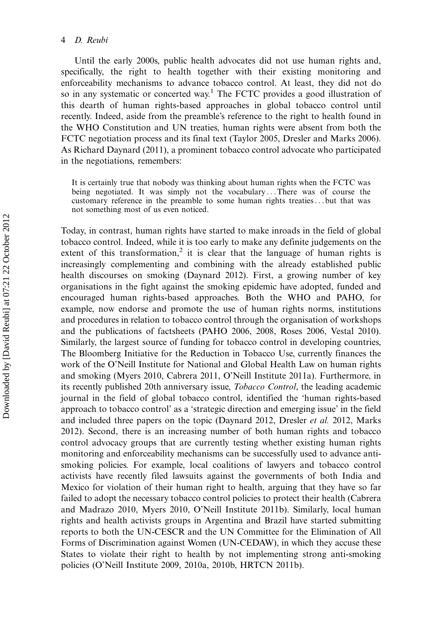### 4 D. Reubi

Until the early 2000s, public health advocates did not use human rights and, specifically, the right to health together with their existing monitoring and enforceability mechanisms to advance tobacco control. At least, they did not do so in any systematic or concerted way.<sup>1</sup> The FCTC provides a good illustration of this dearth of human rights-based approaches in global tobacco control until recently. Indeed, aside from the preamble's reference to the right to health found in the WHO Constitution and UN treaties, human rights were absent from both the FCTC negotiation process and its final text (Taylor 2005, Dresler and Marks 2006). As Richard Daynard (2011), a prominent tobacco control advocate who participated in the negotiations, remembers:

It is certainly true that nobody was thinking about human rights when the FCTC was being negotiated. It was simply not the vocabulary ...There was of course the customary reference in the preamble to some human rights treaties...but that was not something most of us even noticed.

Today, in contrast, human rights have started to make inroads in the field of global tobacco control. Indeed, while it is too early to make any definite judgements on the extent of this transformation,<sup>2</sup> it is clear that the language of human rights is increasingly complementing and combining with the already established public health discourses on smoking (Daynard 2012). First, a growing number of key organisations in the fight against the smoking epidemic have adopted, funded and encouraged human rights-based approaches. Both the WHO and PAHO, for example, now endorse and promote the use of human rights norms, institutions and procedures in relation to tobacco control through the organisation of workshops and the publications of factsheets (PAHO 2006, 2008, Roses 2006, Vestal 2010). Similarly, the largest source of funding for tobacco control in developing countries, The Bloomberg Initiative for the Reduction in Tobacco Use, currently finances the work of the O'Neill Institute for National and Global Health Law on human rights and smoking (Myers 2010, Cabrera 2011, O'Neill Institute 2011a). Furthermore, in its recently published 20th anniversary issue, Tobacco Control, the leading academic journal in the field of global tobacco control, identified the 'human rights-based approach to tobacco control' as a 'strategic direction and emerging issue' in the field and included three papers on the topic (Daynard 2012, Dresler et al. 2012, Marks 2012). Second, there is an increasing number of both human rights and tobacco control advocacy groups that are currently testing whether existing human rights monitoring and enforceability mechanisms can be successfully used to advance antismoking policies. For example, local coalitions of lawyers and tobacco control activists have recently filed lawsuits against the governments of both India and Mexico for violation of their human right to health, arguing that they have so far failed to adopt the necessary tobacco control policies to protect their health (Cabrera and Madrazo 2010, Myers 2010, O'Neill Institute 2011b). Similarly, local human rights and health activists groups in Argentina and Brazil have started submitting reports to both the UN-CESCR and the UN Committee for the Elimination of All Forms of Discrimination against Women (UN-CEDAW), in which they accuse these States to violate their right to health by not implementing strong anti-smoking policies (O'Neill Institute 2009, 2010a, 2010b, HRTCN 2011b).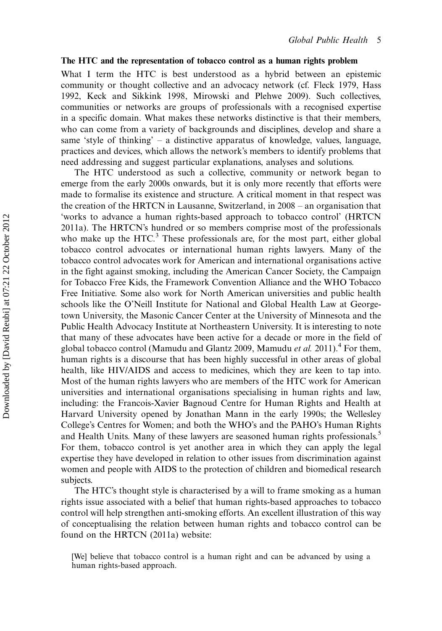## The HTC and the representation of tobacco control as a human rights problem

What I term the HTC is best understood as a hybrid between an epistemic community or thought collective and an advocacy network (cf. Fleck 1979, Hass 1992, Keck and Sikkink 1998, Mirowski and Plehwe 2009). Such collectives, communities or networks are groups of professionals with a recognised expertise in a specific domain. What makes these networks distinctive is that their members, who can come from a variety of backgrounds and disciplines, develop and share a same 'style of thinking'  $-$  a distinctive apparatus of knowledge, values, language, practices and devices, which allows the network's members to identify problems that need addressing and suggest particular explanations, analyses and solutions.

The HTC understood as such a collective, community or network began to emerge from the early 2000s onwards, but it is only more recently that efforts were made to formalise its existence and structure. A critical moment in that respect was the creation of the HRTCN in Lausanne, Switzerland, in  $2008 -$  an organisation that 'works to advance a human rights-based approach to tobacco control' (HRTCN 2011a). The HRTCN's hundred or so members comprise most of the professionals who make up the HTC. $3$  These professionals are, for the most part, either global tobacco control advocates or international human rights lawyers. Many of the tobacco control advocates work for American and international organisations active in the fight against smoking, including the American Cancer Society, the Campaign for Tobacco Free Kids, the Framework Convention Alliance and the WHO Tobacco Free Initiative. Some also work for North American universities and public health schools like the O'Neill Institute for National and Global Health Law at Georgetown University, the Masonic Cancer Center at the University of Minnesota and the Public Health Advocacy Institute at Northeastern University. It is interesting to note that many of these advocates have been active for a decade or more in the field of global tobacco control (Mamudu and Glantz 2009, Mamudu *et al.* 2011).<sup>4</sup> For them, human rights is a discourse that has been highly successful in other areas of global health, like HIV/AIDS and access to medicines, which they are keen to tap into. Most of the human rights lawyers who are members of the HTC work for American universities and international organisations specialising in human rights and law, including: the Francois-Xavier Bagnoud Centre for Human Rights and Health at Harvard University opened by Jonathan Mann in the early 1990s; the Wellesley College's Centres for Women; and both the WHO's and the PAHO's Human Rights and Health Units. Many of these lawyers are seasoned human rights professionals.<sup>5</sup> For them, tobacco control is yet another area in which they can apply the legal expertise they have developed in relation to other issues from discrimination against women and people with AIDS to the protection of children and biomedical research subjects.

The HTC's thought style is characterised by a will to frame smoking as a human rights issue associated with a belief that human rights-based approaches to tobacco control will help strengthen anti-smoking efforts. An excellent illustration of this way of conceptualising the relation between human rights and tobacco control can be found on the HRTCN (2011a) website:

<sup>[</sup>We] believe that tobacco control is a human right and can be advanced by using a human rights-based approach.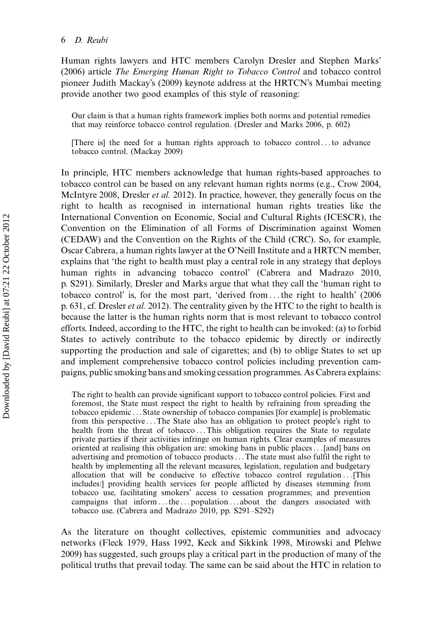### 6 D. Reubi

Human rights lawyers and HTC members Carolyn Dresler and Stephen Marks' (2006) article The Emerging Human Right to Tobacco Control and tobacco control pioneer Judith Mackay's (2009) keynote address at the HRTCN's Mumbai meeting provide another two good examples of this style of reasoning:

Our claim is that a human rights framework implies both norms and potential remedies that may reinforce tobacco control regulation. (Dresler and Marks 2006, p. 602)

[There is] the need for a human rights approach to tobacco control ...to advance tobacco control. (Mackay 2009)

In principle, HTC members acknowledge that human rights-based approaches to tobacco control can be based on any relevant human rights norms (e.g., Crow 2004, McIntyre 2008, Dresler *et al.* 2012). In practice, however, they generally focus on the right to health as recognised in international human rights treaties like the International Convention on Economic, Social and Cultural Rights (ICESCR), the Convention on the Elimination of all Forms of Discrimination against Women (CEDAW) and the Convention on the Rights of the Child (CRC). So, for example, Oscar Cabrera, a human rights lawyer at the O'Neill Institute and a HRTCN member, explains that 'the right to health must play a central role in any strategy that deploys human rights in advancing tobacco control' (Cabrera and Madrazo 2010, p. S291). Similarly, Dresler and Marks argue that what they call the 'human right to tobacco control' is, for the most part, 'derived from ...the right to health' (2006 p. 631, cf. Dresler et al. 2012). The centrality given by the HTC to the right to health is because the latter is the human rights norm that is most relevant to tobacco control efforts. Indeed, according to the HTC, the right to health can be invoked: (a) to forbid States to actively contribute to the tobacco epidemic by directly or indirectly supporting the production and sale of cigarettes; and (b) to oblige States to set up and implement comprehensive tobacco control policies including prevention campaigns, public smoking bans and smoking cessation programmes. As Cabrera explains:

As the literature on thought collectives, epistemic communities and advocacy networks (Fleck 1979, Hass 1992, Keck and Sikkink 1998, Mirowski and Plehwe 2009) has suggested, such groups play a critical part in the production of many of the political truths that prevail today. The same can be said about the HTC in relation to

The right to health can provide significant support to tobacco control policies. First and foremost, the State must respect the right to health by refraining from spreading the tobacco epidemic ...State ownership of tobacco companies [for example] is problematic from this perspective ...The State also has an obligation to protect people's right to health from the threat of tobacco ...This obligation requires the State to regulate private parties if their activities infringe on human rights. Clear examples of measures oriented at realising this obligation are: smoking bans in public places...[and] bans on advertising and promotion of tobacco products...The state must also fulfil the right to health by implementing all the relevant measures, legislation, regulation and budgetary allocation that will be conducive to effective tobacco control regulation ...[This includes:] providing health services for people afflicted by diseases stemming from tobacco use, facilitating smokers' access to cessation programmes; and prevention campaigns that inform ...the ...population ... about the dangers associated with tobacco use. (Cabrera and Madrazo 2010, pp.  $S291-S292$ )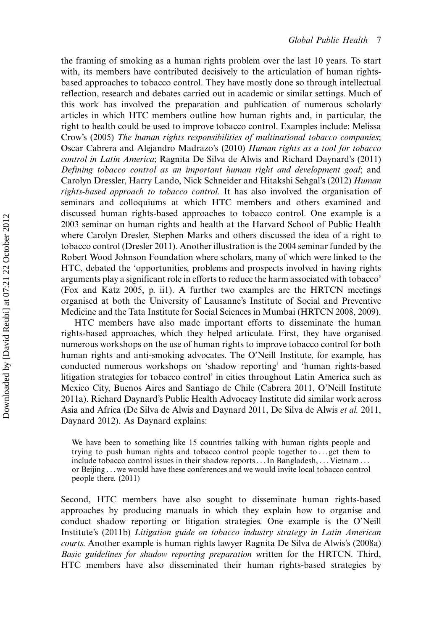the framing of smoking as a human rights problem over the last 10 years. To start with, its members have contributed decisively to the articulation of human rightsbased approaches to tobacco control. They have mostly done so through intellectual reflection, research and debates carried out in academic or similar settings. Much of this work has involved the preparation and publication of numerous scholarly articles in which HTC members outline how human rights and, in particular, the right to health could be used to improve tobacco control. Examples include: Melissa Crow's (2005) The human rights responsibilities of multinational tobacco companies; Oscar Cabrera and Alejandro Madrazo's (2010) Human rights as a tool for tobacco control in Latin America; Ragnita De Silva de Alwis and Richard Daynard's (2011) Defining tobacco control as an important human right and development goal; and Carolyn Dressler, Harry Lando, Nick Schneider and Hitakshi Sehgal's (2012) Human rights-based approach to tobacco control. It has also involved the organisation of seminars and colloquiums at which HTC members and others examined and discussed human rights-based approaches to tobacco control. One example is a 2003 seminar on human rights and health at the Harvard School of Public Health where Carolyn Dresler, Stephen Marks and others discussed the idea of a right to tobacco control (Dresler 2011). Another illustration is the 2004 seminar funded by the Robert Wood Johnson Foundation where scholars, many of which were linked to the HTC, debated the 'opportunities, problems and prospects involved in having rights arguments play a significant role in efforts to reduce the harm associated with tobacco' (Fox and Katz 2005, p. ii1). A further two examples are the HRTCN meetings organised at both the University of Lausanne's Institute of Social and Preventive Medicine and the Tata Institute for Social Sciences in Mumbai (HRTCN 2008, 2009).

HTC members have also made important efforts to disseminate the human rights-based approaches, which they helped articulate. First, they have organised numerous workshops on the use of human rights to improve tobacco control for both human rights and anti-smoking advocates. The O'Neill Institute, for example, has conducted numerous workshops on 'shadow reporting' and 'human rights-based litigation strategies for tobacco control' in cities throughout Latin America such as Mexico City, Buenos Aires and Santiago de Chile (Cabrera 2011, O'Neill Institute 2011a). Richard Daynard's Public Health Advocacy Institute did similar work across Asia and Africa (De Silva de Alwis and Daynard 2011, De Silva de Alwis et al. 2011, Daynard 2012). As Daynard explains:

We have been to something like 15 countries talking with human rights people and trying to push human rights and tobacco control people together to ... get them to include tobacco control issues in their shadow reports...In Bangladesh, ...Vietnam ... or Beijing ...we would have these conferences and we would invite local tobacco control people there. (2011)

Second, HTC members have also sought to disseminate human rights-based approaches by producing manuals in which they explain how to organise and conduct shadow reporting or litigation strategies. One example is the O'Neill Institute's (2011b) Litigation guide on tobacco industry strategy in Latin American courts. Another example is human rights lawyer Ragnita De Silva de Alwis's (2008a) Basic guidelines for shadow reporting preparation written for the HRTCN. Third, HTC members have also disseminated their human rights-based strategies by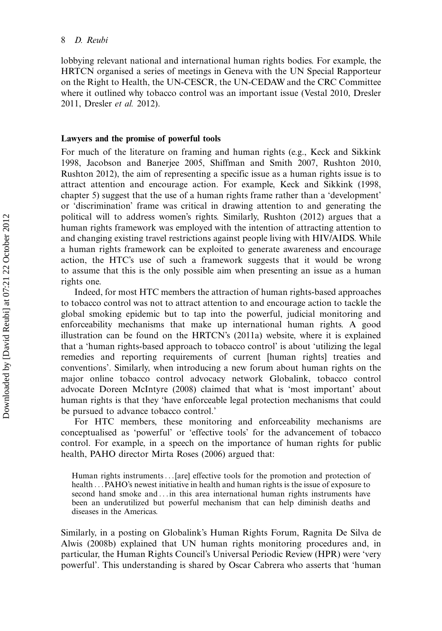lobbying relevant national and international human rights bodies. For example, the HRTCN organised a series of meetings in Geneva with the UN Special Rapporteur on the Right to Health, the UN-CESCR, the UN-CEDAW and the CRC Committee where it outlined why tobacco control was an important issue (Vestal 2010, Dresler 2011, Dresler et al. 2012).

### Lawyers and the promise of powerful tools

For much of the literature on framing and human rights (e.g., Keck and Sikkink 1998, Jacobson and Banerjee 2005, Shiffman and Smith 2007, Rushton 2010, Rushton 2012), the aim of representing a specific issue as a human rights issue is to attract attention and encourage action. For example, Keck and Sikkink (1998, chapter 5) suggest that the use of a human rights frame rather than a 'development' or 'discrimination' frame was critical in drawing attention to and generating the political will to address women's rights. Similarly, Rushton (2012) argues that a human rights framework was employed with the intention of attracting attention to and changing existing travel restrictions against people living with HIV/AIDS. While a human rights framework can be exploited to generate awareness and encourage action, the HTC's use of such a framework suggests that it would be wrong to assume that this is the only possible aim when presenting an issue as a human rights one.

Indeed, for most HTC members the attraction of human rights-based approaches to tobacco control was not to attract attention to and encourage action to tackle the global smoking epidemic but to tap into the powerful, judicial monitoring and enforceability mechanisms that make up international human rights. A good illustration can be found on the HRTCN's (2011a) website, where it is explained that a 'human rights-based approach to tobacco control' is about 'utilizing the legal remedies and reporting requirements of current [human rights] treaties and conventions'. Similarly, when introducing a new forum about human rights on the major online tobacco control advocacy network Globalink, tobacco control advocate Doreen McIntyre (2008) claimed that what is 'most important' about human rights is that they 'have enforceable legal protection mechanisms that could be pursued to advance tobacco control.'

For HTC members, these monitoring and enforceability mechanisms are conceptualised as 'powerful' or 'effective tools' for the advancement of tobacco control. For example, in a speech on the importance of human rights for public health, PAHO director Mirta Roses (2006) argued that:

Human rights instruments...[are] effective tools for the promotion and protection of health ... PAHO's newest initiative in health and human rights is the issue of exposure to second hand smoke and ...in this area international human rights instruments have been an underutilized but powerful mechanism that can help diminish deaths and diseases in the Americas.

Similarly, in a posting on Globalink's Human Rights Forum, Ragnita De Silva de Alwis (2008b) explained that UN human rights monitoring procedures and, in particular, the Human Rights Council's Universal Periodic Review (HPR) were 'very powerful'. This understanding is shared by Oscar Cabrera who asserts that 'human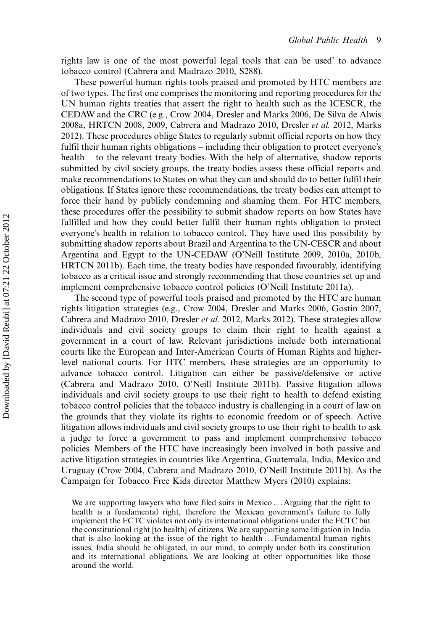rights law is one of the most powerful legal tools that can be used' to advance tobacco control (Cabrera and Madrazo 2010, S288).

These powerful human rights tools praised and promoted by HTC members are of two types. The first one comprises the monitoring and reporting procedures for the UN human rights treaties that assert the right to health such as the ICESCR, the CEDAW and the CRC (e.g., Crow 2004, Dresler and Marks 2006, De Silva de Alwis 2008a, HRTCN 2008, 2009, Cabrera and Madrazo 2010, Dresler et al. 2012, Marks 2012). These procedures oblige States to regularly submit official reports on how they fulfil their human rights obligations - including their obligation to protect everyone's health  $-$  to the relevant treaty bodies. With the help of alternative, shadow reports submitted by civil society groups, the treaty bodies assess these official reports and make recommendations to States on what they can and should do to better fulfil their obligations. If States ignore these recommendations, the treaty bodies can attempt to force their hand by publicly condemning and shaming them. For HTC members, these procedures offer the possibility to submit shadow reports on how States have fulfilled and how they could better fulfil their human rights obligation to protect everyone's health in relation to tobacco control. They have used this possibility by submitting shadow reports about Brazil and Argentina to the UN-CESCR and about Argentina and Egypt to the UN-CEDAW (O'Neill Institute 2009, 2010a, 2010b, HRTCN 2011b). Each time, the treaty bodies have responded favourably, identifying tobacco as a critical issue and strongly recommending that these countries set up and implement comprehensive tobacco control policies (O'Neill Institute 2011a).

The second type of powerful tools praised and promoted by the HTC are human rights litigation strategies (e.g., Crow 2004, Dresler and Marks 2006, Gostin 2007, Cabrera and Madrazo 2010, Dresler et al. 2012, Marks 2012). These strategies allow individuals and civil society groups to claim their right to health against a government in a court of law. Relevant jurisdictions include both international courts like the European and Inter-American Courts of Human Rights and higherlevel national courts. For HTC members, these strategies are an opportunity to advance tobacco control. Litigation can either be passive/defensive or active (Cabrera and Madrazo 2010, O'Neill Institute 2011b). Passive litigation allows individuals and civil society groups to use their right to health to defend existing tobacco control policies that the tobacco industry is challenging in a court of law on the grounds that they violate its rights to economic freedom or of speech. Active litigation allows individuals and civil society groups to use their right to health to ask a judge to force a government to pass and implement comprehensive tobacco policies. Members of the HTC have increasingly been involved in both passive and active litigation strategies in countries like Argentina, Guatemala, India, Mexico and Uruguay (Crow 2004, Cabrera and Madrazo 2010, O'Neill Institute 2011b). As the Campaign for Tobacco Free Kids director Matthew Myers (2010) explains:

We are supporting lawyers who have filed suits in Mexico ...Arguing that the right to health is a fundamental right, therefore the Mexican government's failure to fully implement the FCTC violates not only its international obligations under the FCTC but the constitutional right [to health] of citizens. We are supporting some litigation in India that is also looking at the issue of the right to health ...Fundamental human rights issues. India should be obligated, in our mind, to comply under both its constitution and its international obligations. We are looking at other opportunities like those around the world.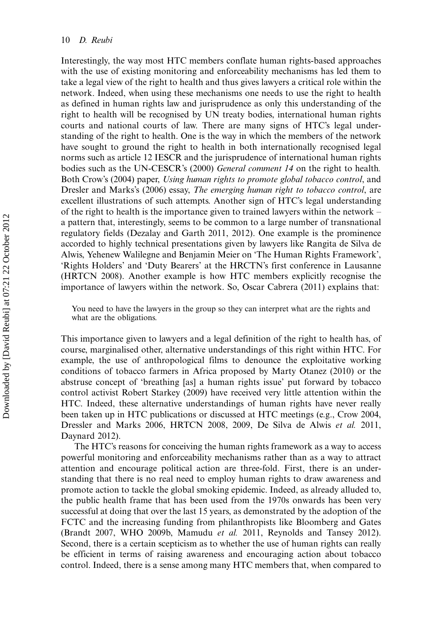#### 10 D. Reubi

Interestingly, the way most HTC members conflate human rights-based approaches with the use of existing monitoring and enforceability mechanisms has led them to take a legal view of the right to health and thus gives lawyers a critical role within the network. Indeed, when using these mechanisms one needs to use the right to health as defined in human rights law and jurisprudence as only this understanding of the right to health will be recognised by UN treaty bodies, international human rights courts and national courts of law. There are many signs of HTC's legal understanding of the right to health. One is the way in which the members of the network have sought to ground the right to health in both internationally recognised legal norms such as article 12 IESCR and the jurisprudence of international human rights bodies such as the UN-CESCR's (2000) General comment 14 on the right to health. Both Crow's (2004) paper, Using human rights to promote global tobacco control, and Dresler and Marks's (2006) essay, The emerging human right to tobacco control, are excellent illustrations of such attempts. Another sign of HTC's legal understanding of the right to health is the importance given to trained lawyers within the network a pattern that, interestingly, seems to be common to a large number of transnational regulatory fields (Dezalay and Garth 2011, 2012). One example is the prominence accorded to highly technical presentations given by lawyers like Rangita de Silva de Alwis, Yehenew Walilegne and Benjamin Meier on 'The Human Rights Framework', 'Rights Holders' and 'Duty Bearers' at the HRCTN's first conference in Lausanne (HRTCN 2008). Another example is how HTC members explicitly recognise the importance of lawyers within the network. So, Oscar Cabrera (2011) explains that:

You need to have the lawyers in the group so they can interpret what are the rights and what are the obligations.

This importance given to lawyers and a legal definition of the right to health has, of course, marginalised other, alternative understandings of this right within HTC. For example, the use of anthropological films to denounce the exploitative working conditions of tobacco farmers in Africa proposed by Marty Otanez (2010) or the abstruse concept of 'breathing [as] a human rights issue' put forward by tobacco control activist Robert Starkey (2009) have received very little attention within the HTC. Indeed, these alternative understandings of human rights have never really been taken up in HTC publications or discussed at HTC meetings (e.g., Crow 2004, Dressler and Marks 2006, HRTCN 2008, 2009, De Silva de Alwis et al. 2011, Daynard 2012).

The HTC's reasons for conceiving the human rights framework as a way to access powerful monitoring and enforceability mechanisms rather than as a way to attract attention and encourage political action are three-fold. First, there is an understanding that there is no real need to employ human rights to draw awareness and promote action to tackle the global smoking epidemic. Indeed, as already alluded to, the public health frame that has been used from the 1970s onwards has been very successful at doing that over the last 15 years, as demonstrated by the adoption of the FCTC and the increasing funding from philanthropists like Bloomberg and Gates (Brandt 2007, WHO 2009b, Mamudu et al. 2011, Reynolds and Tansey 2012). Second, there is a certain scepticism as to whether the use of human rights can really be efficient in terms of raising awareness and encouraging action about tobacco control. Indeed, there is a sense among many HTC members that, when compared to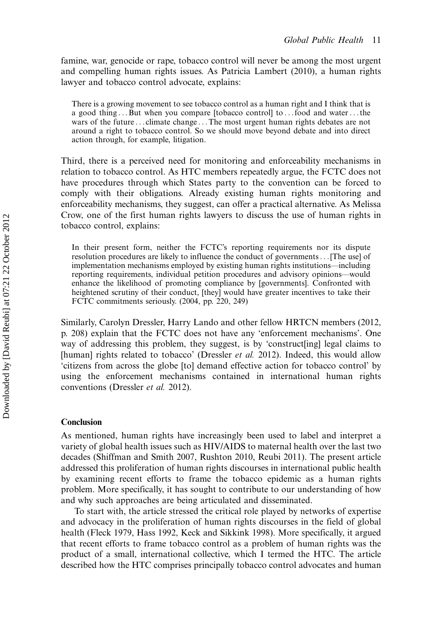famine, war, genocide or rape, tobacco control will never be among the most urgent and compelling human rights issues. As Patricia Lambert (2010), a human rights lawyer and tobacco control advocate, explains:

There is a growing movement to see tobacco control as a human right and I think that is a good thing ...But when you compare [tobacco control] to ...food and water...the wars of the future ... climate change ...The most urgent human rights debates are not around a right to tobacco control. So we should move beyond debate and into direct action through, for example, litigation.

Third, there is a perceived need for monitoring and enforceability mechanisms in relation to tobacco control. As HTC members repeatedly argue, the FCTC does not have procedures through which States party to the convention can be forced to comply with their obligations. Already existing human rights monitoring and enforceability mechanisms, they suggest, can offer a practical alternative. As Melissa Crow, one of the first human rights lawyers to discuss the use of human rights in tobacco control, explains:

In their present form, neither the FCTC's reporting requirements nor its dispute resolution procedures are likely to influence the conduct of governments...[The use] of implementation mechanisms employed by existing human rights institutions—including reporting requirements, individual petition procedures and advisory opinions-would enhance the likelihood of promoting compliance by [governments]. Confronted with heightened scrutiny of their conduct, [they] would have greater incentives to take their FCTC commitments seriously. (2004, pp. 220, 249)

Similarly, Carolyn Dressler, Harry Lando and other fellow HRTCN members (2012, p. 208) explain that the FCTC does not have any 'enforcement mechanisms'. One way of addressing this problem, they suggest, is by 'construct[ing] legal claims to [human] rights related to tobacco' (Dressler *et al.* 2012). Indeed, this would allow 'citizens from across the globe [to] demand effective action for tobacco control' by using the enforcement mechanisms contained in international human rights conventions (Dressler et al. 2012).

### Conclusion

As mentioned, human rights have increasingly been used to label and interpret a variety of global health issues such as HIV/AIDS to maternal health over the last two decades (Shiffman and Smith 2007, Rushton 2010, Reubi 2011). The present article addressed this proliferation of human rights discourses in international public health by examining recent efforts to frame the tobacco epidemic as a human rights problem. More specifically, it has sought to contribute to our understanding of how and why such approaches are being articulated and disseminated.

To start with, the article stressed the critical role played by networks of expertise and advocacy in the proliferation of human rights discourses in the field of global health (Fleck 1979, Hass 1992, Keck and Sikkink 1998). More specifically, it argued that recent efforts to frame tobacco control as a problem of human rights was the product of a small, international collective, which I termed the HTC. The article described how the HTC comprises principally tobacco control advocates and human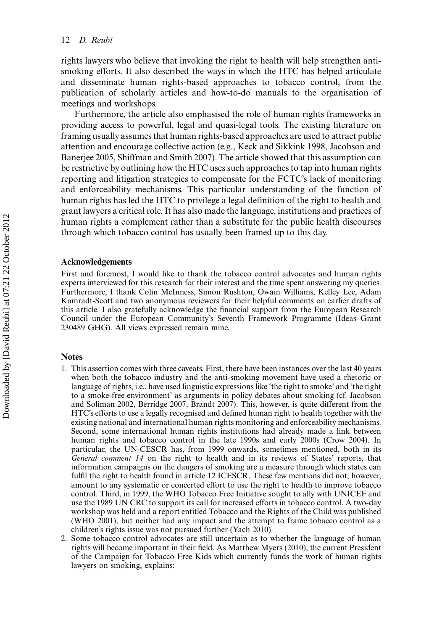rights lawyers who believe that invoking the right to health will help strengthen antismoking efforts. It also described the ways in which the HTC has helped articulate and disseminate human rights-based approaches to tobacco control, from the publication of scholarly articles and how-to-do manuals to the organisation of meetings and workshops.

Furthermore, the article also emphasised the role of human rights frameworks in providing access to powerful, legal and quasi-legal tools. The existing literature on framing usually assumes that human rights-based approaches are used to attract public attention and encourage collective action (e.g., Keck and Sikkink 1998, Jacobson and Banerjee 2005, Shiffman and Smith 2007). The article showed that this assumption can be restrictive by outlining how the HTC uses such approaches to tap into human rights reporting and litigation strategies to compensate for the FCTC's lack of monitoring and enforceability mechanisms. This particular understanding of the function of human rights has led the HTC to privilege a legal definition of the right to health and grant lawyers a critical role. It has also made the language, institutions and practices of human rights a complement rather than a substitute for the public health discourses through which tobacco control has usually been framed up to this day.

#### Acknowledgements

First and foremost, I would like to thank the tobacco control advocates and human rights experts interviewed for this research for their interest and the time spent answering my queries. Furthermore, I thank Colin McInness, Simon Rushton, Owain Williams, Kelley Lee, Adam Kamradt-Scott and two anonymous reviewers for their helpful comments on earlier drafts of this article. I also gratefully acknowledge the financial support from the European Research Council under the European Community's Seventh Framework Programme (Ideas Grant 230489 GHG). All views expressed remain mine.

#### Notes

- 1. This assertion comes with three caveats. First, there have been instances over the last 40 years when both the tobacco industry and the anti-smoking movement have used a rhetoric or language of rights, i.e., have used linguistic expressions like 'the right to smoke' and 'the right to a smoke-free environment' as arguments in policy debates about smoking (cf. Jacobson and Soliman 2002, Berridge 2007, Brandt 2007). This, however, is quite different from the HTC's efforts to use a legally recognised and defined human right to health together with the existing national and international human rights monitoring and enforceability mechanisms. Second, some international human rights institutions had already made a link between human rights and tobacco control in the late 1990s and early 2000s (Crow 2004). In particular, the UN-CESCR has, from 1999 onwards, sometimes mentioned, both in its General comment 14 on the right to health and in its reviews of States' reports, that information campaigns on the dangers of smoking are a measure through which states can fulfil the right to health found in article 12 ICESCR. These few mentions did not, however, amount to any systematic or concerted effort to use the right to health to improve tobacco control. Third, in 1999, the WHO Tobacco Free Initiative sought to ally with UNICEF and use the 1989 UN CRC to support its call for increased efforts in tobacco control. A two-day workshop was held and a report entitled Tobacco and the Rights of the Child was published (WHO 2001), but neither had any impact and the attempt to frame tobacco control as a children's rights issue was not pursued further (Yach 2010).
- 2. Some tobacco control advocates are still uncertain as to whether the language of human rights will become important in their field. As Matthew Myers (2010), the current President of the Campaign for Tobacco Free Kids which currently funds the work of human rights lawyers on smoking, explains: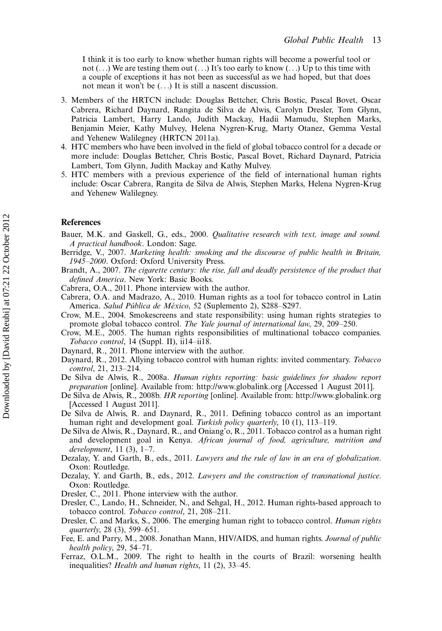I think it is too early to know whether human rights will become a powerful tool or not  $(...)$  We are testing them out  $(...)$  It's too early to know  $(...)$  Up to this time with a couple of exceptions it has not been as successful as we had hoped, but that does not mean it won't be (...) It is still a nascent discussion.

- 3. Members of the HRTCN include: Douglas Bettcher, Chris Bostic, Pascal Bovet, Oscar Cabrera, Richard Daynard, Rangita de Silva de Alwis, Carolyn Dresler, Tom Glynn, Patricia Lambert, Harry Lando, Judith Mackay, Hadii Mamudu, Stephen Marks, Benjamin Meier, Kathy Mulvey, Helena Nygren-Krug, Marty Otanez, Gemma Vestal and Yehenew Walilegney (HRTCN 2011a).
- 4. HTC members who have been involved in the field of global tobacco control for a decade or more include: Douglas Bettcher, Chris Bostic, Pascal Bovet, Richard Daynard, Patricia Lambert, Tom Glynn, Judith Mackay and Kathy Mulvey.
- 5. HTC members with a previous experience of the field of international human rights include: Oscar Cabrera, Rangita de Silva de Alwis, Stephen Marks, Helena Nygren-Krug and Yehenew Walilegney.

#### References

- Bauer, M.K. and Gaskell, G., eds., 2000. Qualitative research with text, image and sound. A practical handbook. London: Sage.
- Berridge, V., 2007. Marketing health: smoking and the discourse of public health in Britain, 1945-2000. Oxford: Oxford University Press.
- Brandt, A., 2007. The cigarette century: the rise, fall and deadly persistence of the product that defined America. New York: Basic Books.
- Cabrera, O.A., 2011. Phone interview with the author.
- Cabrera, O.A. and Madrazo, A., 2010. Human rights as a tool for tobacco control in Latin America. Salud Pública de México, 52 (Suplemento 2), S288-S297.
- Crow, M.E., 2004. Smokescreens and state responsibility: using human rights strategies to promote global tobacco control. The Yale journal of international law, 29, 209-250.
- Crow, M.E., 2005. The human rights responsibilities of multinational tobacco companies. Tobacco control, 14 (Suppl. II), ii14-ii18.
- Daynard, R., 2011. Phone interview with the author.
- Daynard, R., 2012. Allying tobacco control with human rights: invited commentary. Tobacco control, 21, 213-214.
- De Silva de Alwis, R., 2008a. Human rights reporting: basic guidelines for shadow report preparation [online]. Available from:<http://www.globalink.org> [Accessed 1 August 2011].
- De Silva de Alwis, R., 2008b. HR reporting [online]. Available from:<http://www.globalink.org> [Accessed 1 August 2011].
- De Silva de Alwis, R. and Daynard, R., 2011. Defining tobacco control as an important human right and development goal. Turkish policy quarterly, 10 (1), 113–119.
- De Silva de Alwis, R., Daynard, R., and Oniang'o, R., 2011. Tobacco control as a human right and development goal in Kenya. African journal of food, agriculture, nutrition and development,  $11$  (3),  $1-7$ .
- Dezalay, Y. and Garth, B., eds., 2011. Lawyers and the rule of law in an era of globalization. Oxon: Routledge.
- Dezalay, Y. and Garth, B., eds., 2012. Lawyers and the construction of transnational justice. Oxon: Routledge.
- Dresler, C., 2011. Phone interview with the author.
- Dresler, C., Lando, H., Schneider, N., and Sehgal, H., 2012. Human rights-based approach to tobacco control. Tobacco control, 21, 208-211.
- Dresler, C. and Marks, S., 2006. The emerging human right to tobacco control. Human rights quarterly,  $28(3)$ ,  $599-651$ .
- Fee, E. and Parry, M., 2008. Jonathan Mann, HIV/AIDS, and human rights. Journal of public health policy,  $29, 54-71$ .
- Ferraz, O.L.M., 2009. The right to health in the courts of Brazil: worsening health inequalities? Health and human rights,  $11$  (2),  $33-45$ .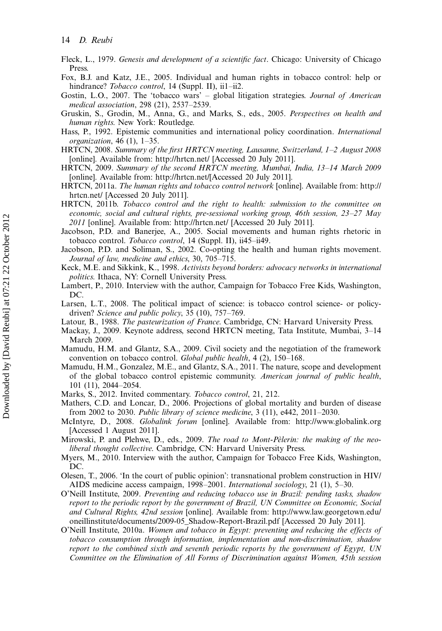- Fleck, L., 1979. Genesis and development of a scientific fact. Chicago: University of Chicago Press.
- Fox, B.J. and Katz, J.E., 2005. Individual and human rights in tobacco control: help or hindrance? Tobacco control, 14 (Suppl. II), ii1-ii2.
- Gostin, L.O., 2007. The 'tobacco wars' global litigation strategies. Journal of American medical association, 298 (21), 2537-2539.
- Gruskin, S., Grodin, M., Anna, G., and Marks, S., eds., 2005. Perspectives on health and human rights. New York: Routledge.
- Hass, P., 1992. Epistemic communities and international policy coordination. International organization, 46  $(1)$ , 1-35.
- HRTCN, 2008. Summary of the first HRTCN meeting, Lausanne, Switzerland, 1-2 August 2008 [online]. Available from:<http://hrtcn.net/> [Accessed 20 July 2011].
- HRTCN, 2009. Summary of the second HRTCN meeting, Mumbai, India, 13–14 March 2009 [online]. Available from: [http://hrtcn.net/\[](http://hrtcn.net/)Accessed 20 July 2011].
- HRTCN, 2011a. The human rights and tobacco control network [online]. Available from: [http://](http://hrtcn.net/) [hrtcn.net/](http://hrtcn.net/) [Accessed 20 July 2011].
- HRTCN, 2011b. Tobacco control and the right to health: submission to the committee on economic, social and cultural rights, pre-sessional working group, 46th session, 23-27 May 2011 [online]. Available from:<http://hrtcn.net/> [Accessed 20 July 2011].
- Jacobson, P.D. and Banerjee, A., 2005. Social movements and human rights rhetoric in tobacco control. Tobacco control, 14 (Suppl. II), ii45-ii49.
- Jacobson, P.D. and Soliman, S., 2002. Co-opting the health and human rights movement. Journal of law, medicine and ethics, 30, 705-715.
- Keck, M.E. and Sikkink, K., 1998. Activists beyond borders: advocacy networks in international politics. Ithaca, NY: Cornell University Press.
- Lambert, P., 2010. Interview with the author, Campaign for Tobacco Free Kids, Washington, DC.
- Larsen, L.T., 2008. The political impact of science: is tobacco control science- or policydriven? Science and public policy,  $35(10)$ ,  $757-769$ .
- Latour, B., 1988. The pasteurization of France. Cambridge, CN: Harvard University Press.
- Mackay, J., 2009. Keynote address, second HRTCN meeting, Tata Institute, Mumbai, 3–14 March 2009.
- Mamudu, H.M. and Glantz, S.A., 2009. Civil society and the negotiation of the framework convention on tobacco control. Global public health, 4 (2), 150-168.
- Mamudu, H.M., Gonzalez, M.E., and Glantz, S.A., 2011. The nature, scope and development of the global tobacco control epistemic community. American journal of public health, 101 (11), 2044-2054.
- Marks, S., 2012. Invited commentary. Tobacco control, 21, 212.
- Mathers, C.D. and Loncar, D., 2006. Projections of global mortality and burden of disease from 2002 to 2030. Public library of science medicine,  $3(11)$ , e442,  $2011-2030$ .
- McIntyre, D., 2008. Globalink forum [online]. Available from:<http://www.globalink.org> [Accessed 1 August 2011].
- Mirowski, P. and Plehwe, D., eds., 2009. The road to Mont-Pelerin: the making of the neoliberal thought collective. Cambridge, CN: Harvard University Press.
- Myers, M., 2010. Interview with the author, Campaign for Tobacco Free Kids, Washington, DC.
- Olesen, T., 2006. 'In the court of public opinion': transnational problem construction in HIV/ AIDS medicine access campaign,  $1998-2001$ . *International sociology*, 21 (1), 5-30.
- O'Neill Institute, 2009. Preventing and reducing tobacco use in Brazil: pending tasks, shadow report to the periodic report by the government of Brazil, UN Committee on Economic, Social and Cultural Rights, 42nd session [online]. Available from: [http://www.law.georgetown.edu/](http://www.law.georgetown.edu/oneillinstitute/documents/2009-05_Shadow-Report-Brazil.pdf) [oneillinstitute/documents/2009-05\\_Shadow-Report-Brazil.pdf](http://www.law.georgetown.edu/oneillinstitute/documents/2009-05_Shadow-Report-Brazil.pdf) [Accessed 20 July 2011].
- O'Neill Institute, 2010a. Women and tobacco in Egypt: preventing and reducing the effects of tobacco consumption through information, implementation and non-discrimination, shadow report to the combined sixth and seventh periodic reports by the government of Egypt, UN Committee on the Elimination of All Forms of Discrimination against Women, 45th session